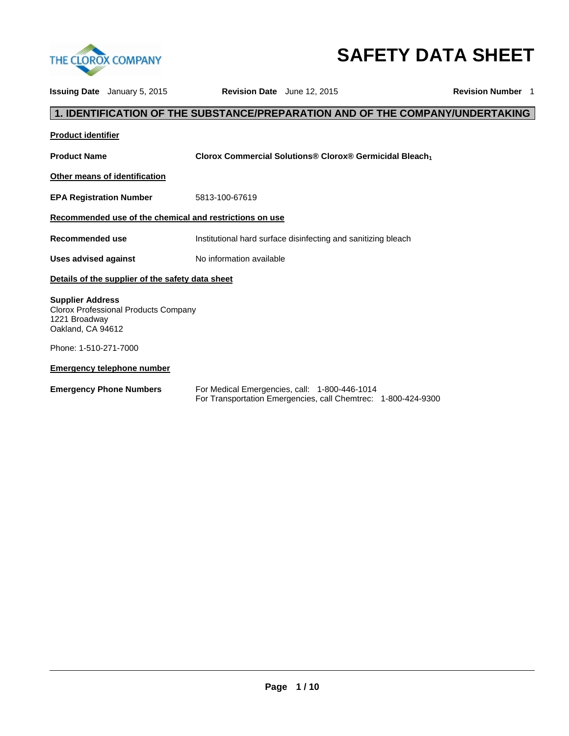

# **SAFETY DATA SHEET**

|                                                               | <b>Issuing Date</b> January 5, 2015              | Revision Date June 12, 2015                                                                                    | <b>Revision Number 1</b> |
|---------------------------------------------------------------|--------------------------------------------------|----------------------------------------------------------------------------------------------------------------|--------------------------|
|                                                               |                                                  | 1. IDENTIFICATION OF THE SUBSTANCE/PREPARATION AND OF THE COMPANY/UNDERTAKING                                  |                          |
| <b>Product identifier</b>                                     |                                                  |                                                                                                                |                          |
| <b>Product Name</b>                                           |                                                  | Clorox Commercial Solutions® Clorox® Germicidal Bleach                                                         |                          |
|                                                               | Other means of identification                    |                                                                                                                |                          |
| <b>EPA Registration Number</b>                                |                                                  | 5813-100-67619                                                                                                 |                          |
|                                                               |                                                  | Recommended use of the chemical and restrictions on use                                                        |                          |
| Recommended use                                               |                                                  | Institutional hard surface disinfecting and sanitizing bleach                                                  |                          |
| <b>Uses advised against</b>                                   |                                                  | No information available                                                                                       |                          |
|                                                               | Details of the supplier of the safety data sheet |                                                                                                                |                          |
| <b>Supplier Address</b><br>1221 Broadway<br>Oakland, CA 94612 | Clorox Professional Products Company             |                                                                                                                |                          |
| Phone: 1-510-271-7000                                         |                                                  |                                                                                                                |                          |
|                                                               | <b>Emergency telephone number</b>                |                                                                                                                |                          |
| <b>Emergency Phone Numbers</b>                                |                                                  | For Medical Emergencies, call: 1-800-446-1014<br>For Transportation Emergencies, call Chemtrec: 1-800-424-9300 |                          |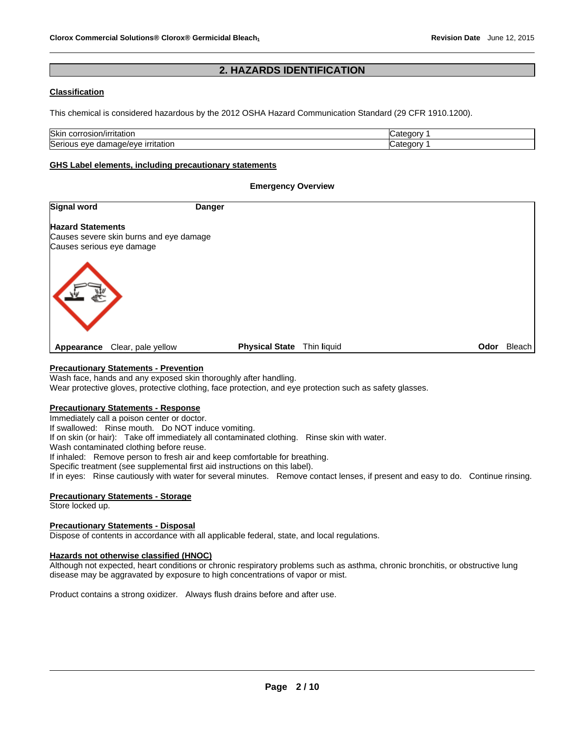# **2. HAZARDS IDENTIFICATION**

# **Classification**

This chemical is considered hazardous by the 2012 OSHA Hazard Communication Standard (29 CFR 1910.1200).

| <b>Skin</b><br>rıtatıor<br>, oslon<br>- JOHN<br>     | .,<br>≅aorv<br>. הר |
|------------------------------------------------------|---------------------|
| Serio<br>ırrıtatıor<br>iade/eve<br>eve<br>aar<br>пла | œ<br>*≏annv         |

#### **GHS Label elements, including precautionary statements**

#### **Emergency Overview**

| Signal word                                                                                      | <b>Danger</b> |                                      |             |
|--------------------------------------------------------------------------------------------------|---------------|--------------------------------------|-------------|
| <b>Hazard Statements</b><br>Causes severe skin burns and eye damage<br>Causes serious eye damage |               |                                      |             |
|                                                                                                  |               |                                      |             |
| Clear, pale yellow<br>Appearance                                                                 |               | <b>Physical State</b><br>Thin liquid | Odor Bleach |

# **Precautionary Statements - Prevention**

Wash face, hands and any exposed skin thoroughly after handling.

Wear protective gloves, protective clothing, face protection, and eye protection such as safety glasses.

## **Precautionary Statements - Response**

Immediately call a poison center or doctor.

If swallowed: Rinse mouth. Do NOT induce vomiting.

If on skin (or hair): Take off immediately all contaminated clothing. Rinse skin with water.

Wash contaminated clothing before reuse.

If inhaled: Remove person to fresh air and keep comfortable for breathing.

Specific treatment (see supplemental first aid instructions on this label).

If in eyes: Rinse cautiously with water for several minutes. Remove contact lenses, if present and easy to do. Continue rinsing.

# **Precautionary Statements - Storage**

Store locked up.

## **Precautionary Statements - Disposal**

Dispose of contents in accordance with all applicable federal, state, and local regulations.

## **Hazards not otherwise classified (HNOC)**

Although not expected, heart conditions or chronic respiratory problems such as asthma, chronic bronchitis, or obstructive lung disease may be aggravated by exposure to high concentrations of vapor or mist.

Product contains a strong oxidizer. Always flush drains before and after use.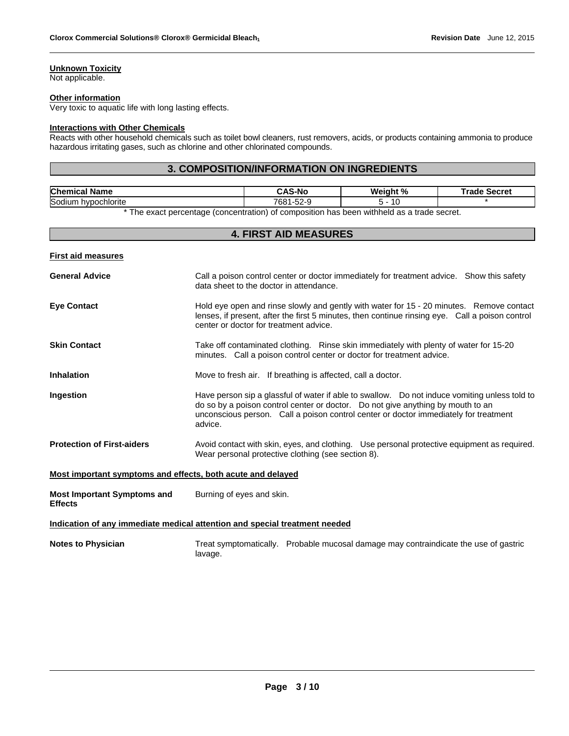# **Unknown Toxicity**

Not applicable.

#### **Other information**

Very toxic to aquatic life with long lasting effects.

#### **Interactions with Other Chemicals**

Reacts with other household chemicals such as toilet bowl cleaners, rust removers, acids, or products containing ammonia to produce hazardous irritating gases, such as chlorine and other chlorinated compounds.

# **3. COMPOSITION/INFORMATION ON INGREDIENTS**

| <b>Chemical</b><br>Name               |  |  |                         | AC NI          | .-N⁄ | <b>Wainht</b><br>$^{\circ}$<br>7α | Frade | Secret |
|---------------------------------------|--|--|-------------------------|----------------|------|-----------------------------------|-------|--------|
| Sodiu<br>vpochlorite<br>. .<br>$\sim$ |  |  | 700 <sub>2</sub><br>OO. | $\sim$<br>ం∠-∽ |      |                                   |       |        |
| $\sim$ $-1$                           |  |  |                         |                | .    | .                                 |       |        |

\* The exact percentage (concentration) of composition has been withheld as a trade secret.

| <b>4. FIRST AID MEASURES</b>                                |                                                                                                                                                                                                                                                                                      |  |  |  |  |
|-------------------------------------------------------------|--------------------------------------------------------------------------------------------------------------------------------------------------------------------------------------------------------------------------------------------------------------------------------------|--|--|--|--|
| <b>First aid measures</b>                                   |                                                                                                                                                                                                                                                                                      |  |  |  |  |
| <b>General Advice</b>                                       | Call a poison control center or doctor immediately for treatment advice. Show this safety<br>data sheet to the doctor in attendance.                                                                                                                                                 |  |  |  |  |
| <b>Eye Contact</b>                                          | Hold eye open and rinse slowly and gently with water for 15 - 20 minutes. Remove contact<br>lenses, if present, after the first 5 minutes, then continue rinsing eye. Call a poison control<br>center or doctor for treatment advice.                                                |  |  |  |  |
| <b>Skin Contact</b>                                         | Take off contaminated clothing. Rinse skin immediately with plenty of water for 15-20<br>minutes. Call a poison control center or doctor for treatment advice.                                                                                                                       |  |  |  |  |
| <b>Inhalation</b>                                           | Move to fresh air. If breathing is affected, call a doctor.                                                                                                                                                                                                                          |  |  |  |  |
| Ingestion                                                   | Have person sip a glassful of water if able to swallow.  Do not induce vomiting unless told to<br>do so by a poison control center or doctor. Do not give anything by mouth to an<br>unconscious person. Call a poison control center or doctor immediately for treatment<br>advice. |  |  |  |  |
| <b>Protection of First-aiders</b>                           | Avoid contact with skin, eyes, and clothing. Use personal protective equipment as required.<br>Wear personal protective clothing (see section 8).                                                                                                                                    |  |  |  |  |
| Most important symptoms and effects, both acute and delayed |                                                                                                                                                                                                                                                                                      |  |  |  |  |
| <b>Most Important Symptoms and</b><br><b>Effects</b>        | Burning of eyes and skin.                                                                                                                                                                                                                                                            |  |  |  |  |
|                                                             | Indication of any immediate medical attention and special treatment needed                                                                                                                                                                                                           |  |  |  |  |
| <b>Notes to Physician</b>                                   | Treat symptomatically. Probable mucosal damage may contraindicate the use of gastric<br>lavage.                                                                                                                                                                                      |  |  |  |  |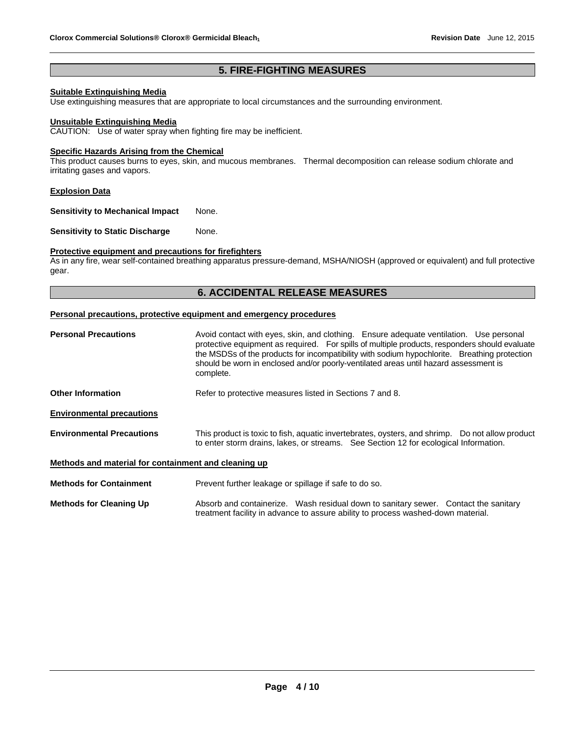# **5. FIRE-FIGHTING MEASURES**

# **Suitable Extinguishing Media**

Use extinguishing measures that are appropriate to local circumstances and the surrounding environment.

#### **Unsuitable Extinguishing Media**

CAUTION: Use of water spray when fighting fire may be inefficient.

#### **Specific Hazards Arising from the Chemical**

This product causes burns to eyes, skin, and mucous membranes. Thermal decomposition can release sodium chlorate and irritating gases and vapors.

## **Explosion Data**

**Sensitivity to Mechanical Impact** None.

**Sensitivity to Static Discharge Mone.** 

# **Protective equipment and precautions for firefighters**

As in any fire, wear self-contained breathing apparatus pressure-demand, MSHA/NIOSH (approved or equivalent) and full protective gear.

# **6. ACCIDENTAL RELEASE MEASURES**

#### **Personal precautions, protective equipment and emergency procedures**

| <b>Personal Precautions</b>                          | Avoid contact with eyes, skin, and clothing. Ensure adequate ventilation. Use personal<br>protective equipment as required. For spills of multiple products, responders should evaluate<br>the MSDSs of the products for incompatibility with sodium hypochlorite. Breathing protection<br>should be worn in enclosed and/or poorly-ventilated areas until hazard assessment is<br>complete. |  |  |  |  |  |
|------------------------------------------------------|----------------------------------------------------------------------------------------------------------------------------------------------------------------------------------------------------------------------------------------------------------------------------------------------------------------------------------------------------------------------------------------------|--|--|--|--|--|
| <b>Other Information</b>                             | Refer to protective measures listed in Sections 7 and 8.                                                                                                                                                                                                                                                                                                                                     |  |  |  |  |  |
| <b>Environmental precautions</b>                     |                                                                                                                                                                                                                                                                                                                                                                                              |  |  |  |  |  |
| <b>Environmental Precautions</b>                     | This product is toxic to fish, aquatic invertebrates, oysters, and shrimp. Do not allow product<br>to enter storm drains, lakes, or streams. See Section 12 for ecological Information.                                                                                                                                                                                                      |  |  |  |  |  |
| Methods and material for containment and cleaning up |                                                                                                                                                                                                                                                                                                                                                                                              |  |  |  |  |  |
| <b>Methods for Containment</b>                       | Prevent further leakage or spillage if safe to do so.                                                                                                                                                                                                                                                                                                                                        |  |  |  |  |  |
| <b>Methods for Cleaning Up</b>                       | Absorb and containerize. Wash residual down to sanitary sewer. Contact the sanitary                                                                                                                                                                                                                                                                                                          |  |  |  |  |  |

treatment facility in advance to assure ability to process washed-down material.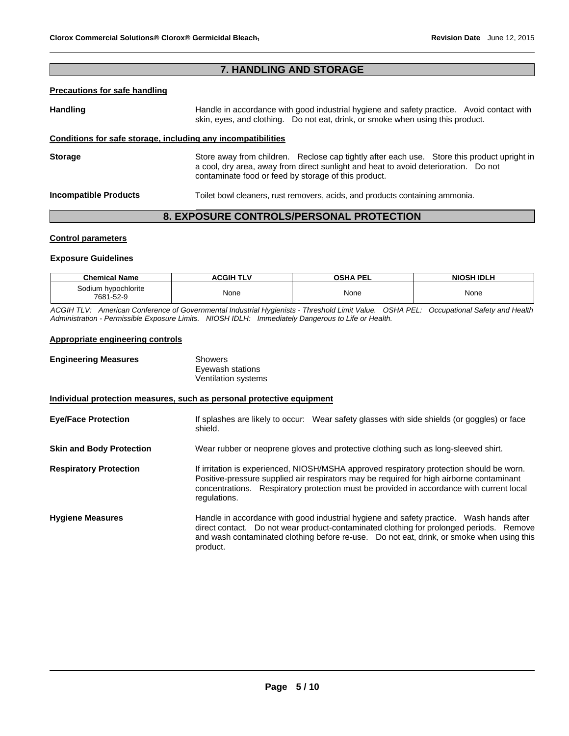# **7. HANDLING AND STORAGE**

# **Precautions for safe handling**

Handling **Handle in accordance with good industrial hygiene and safety practice. Avoid contact with and the Handle in accordance with good industrial hygiene and safety practice. Avoid contact with** skin, eyes, and clothing. Do not eat, drink, or smoke when using this product.

# **Conditions for safe storage, including any incompatibilities**

**Storage The Store away from children.** Reclose cap tightly after each use. Store this product upright in a cool, dry area, away from direct sunlight and heat to avoid deterioration. Do not contaminate food or feed by storage of this product.

**Incompatible Products** Toilet bowl cleaners, rust removers, acids, and products containing ammonia.

# **8. EXPOSURE CONTROLS/PERSONAL PROTECTION**

# **Control parameters**

## **Exposure Guidelines**

| <b>Chemical Name</b>             | <b>ACGIH TLV</b> | <b>OSHA PEL</b> | <b>NIOSH IDLH</b> |
|----------------------------------|------------------|-----------------|-------------------|
| Sodium hypochlorite<br>7681-52-9 | None             | None            | None              |

*ACGIH TLV: American Conference of Governmental Industrial Hygienists - Threshold Limit Value. OSHA PEL: Occupational Safety and Health Administration - Permissible Exposure Limits. NIOSH IDLH: Immediately Dangerous to Life or Health.* 

# **Appropriate engineering controls**

| <b>Engineering Measures</b>                                           | <b>Showers</b><br>Eyewash stations<br>Ventilation systems                                                                                                                                                                                                                                        |
|-----------------------------------------------------------------------|--------------------------------------------------------------------------------------------------------------------------------------------------------------------------------------------------------------------------------------------------------------------------------------------------|
| Individual protection measures, such as personal protective equipment |                                                                                                                                                                                                                                                                                                  |
| <b>Eye/Face Protection</b>                                            | If splashes are likely to occur: Wear safety glasses with side shields (or goggles) or face<br>shield.                                                                                                                                                                                           |
| <b>Skin and Body Protection</b>                                       | Wear rubber or neoprene gloves and protective clothing such as long-sleeved shirt.                                                                                                                                                                                                               |
| <b>Respiratory Protection</b>                                         | If irritation is experienced, NIOSH/MSHA approved respiratory protection should be worn.<br>Positive-pressure supplied air respirators may be required for high airborne contaminant<br>concentrations. Respiratory protection must be provided in accordance with current local<br>regulations. |
| <b>Hygiene Measures</b>                                               | Handle in accordance with good industrial hygiene and safety practice. Wash hands after<br>direct contact. Do not wear product-contaminated clothing for prolonged periods. Remove<br>and wash contaminated clothing before re-use.  Do not eat, drink, or smoke when using this<br>product.     |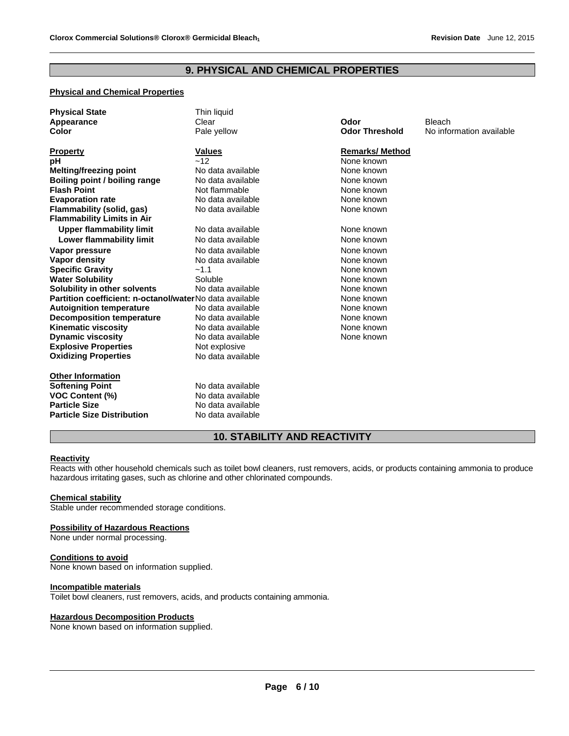# **9. PHYSICAL AND CHEMICAL PROPERTIES**

# **Physical and Chemical Properties**

| <b>Physical State</b>                                   | Thin liquid       |                       |                          |
|---------------------------------------------------------|-------------------|-----------------------|--------------------------|
| Appearance                                              | Clear             | Odor                  | <b>Bleach</b>            |
| Color                                                   | Pale yellow       | <b>Odor Threshold</b> | No information available |
|                                                         |                   |                       |                          |
| <b>Property</b>                                         | <b>Values</b>     | <b>Remarks/Method</b> |                          |
| pH                                                      | ~12               | None known            |                          |
| Melting/freezing point                                  | No data available | None known            |                          |
| Boiling point / boiling range                           | No data available | None known            |                          |
| <b>Flash Point</b>                                      | Not flammable     | None known            |                          |
| <b>Evaporation rate</b>                                 | No data available | None known            |                          |
| <b>Flammability (solid, gas)</b>                        | No data available | None known            |                          |
| <b>Flammability Limits in Air</b>                       |                   |                       |                          |
| <b>Upper flammability limit</b>                         | No data available | None known            |                          |
| Lower flammability limit                                | No data available | None known            |                          |
| Vapor pressure                                          | No data available | None known            |                          |
| Vapor density                                           | No data available | None known            |                          |
| <b>Specific Gravity</b>                                 | $-1.1$            | None known            |                          |
| <b>Water Solubility</b>                                 | Soluble           | None known            |                          |
| Solubility in other solvents                            | No data available | None known            |                          |
| Partition coefficient: n-octanol/waterNo data available |                   | None known            |                          |
| <b>Autoignition temperature</b>                         | No data available | None known            |                          |
| <b>Decomposition temperature</b>                        | No data available | None known            |                          |
| <b>Kinematic viscosity</b>                              | No data available | None known            |                          |
| <b>Dynamic viscosity</b>                                | No data available | None known            |                          |
| <b>Explosive Properties</b>                             | Not explosive     |                       |                          |
| <b>Oxidizing Properties</b>                             | No data available |                       |                          |
| <b>Other Information</b>                                |                   |                       |                          |
| <b>Softening Point</b>                                  | No data available |                       |                          |
| <b>VOC Content (%)</b>                                  | No data available |                       |                          |
| <b>Particle Size</b>                                    | No data available |                       |                          |
| <b>Particle Size Distribution</b>                       | No data available |                       |                          |

# **10. STABILITY AND REACTIVITY**

# **Reactivity**

Reacts with other household chemicals such as toilet bowl cleaners, rust removers, acids, or products containing ammonia to produce hazardous irritating gases, such as chlorine and other chlorinated compounds.

#### **Chemical stability**

Stable under recommended storage conditions.

#### **Possibility of Hazardous Reactions**

None under normal processing.

#### **Conditions to avoid**

None known based on information supplied.

# **Incompatible materials**

Toilet bowl cleaners, rust removers, acids, and products containing ammonia.

#### **Hazardous Decomposition Products**

None known based on information supplied.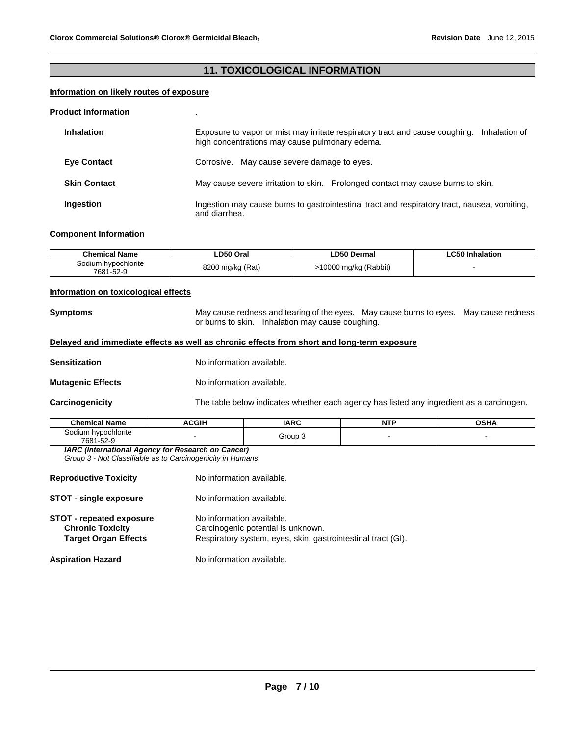# **11. TOXICOLOGICAL INFORMATION**

## **Information on likely routes of exposure**

#### **Product Information** .

| <b>Inhalation</b>   | Exposure to vapor or mist may irritate respiratory tract and cause coughing. Inhalation of<br>high concentrations may cause pulmonary edema. |  |  |  |  |
|---------------------|----------------------------------------------------------------------------------------------------------------------------------------------|--|--|--|--|
| <b>Eve Contact</b>  | Corrosive. May cause severe damage to eyes.                                                                                                  |  |  |  |  |
| <b>Skin Contact</b> | May cause severe irritation to skin. Prolonged contact may cause burns to skin.                                                              |  |  |  |  |
| Ingestion           | Ingestion may cause burns to gastrointestinal tract and respiratory tract, nausea, vomiting,<br>and diarrhea.                                |  |  |  |  |

#### **Component Information**

| Chemical Name                    | ∟D50 Oral        | <b>LD50 Dermal</b>    | <b>LC50 Inhalation</b> |
|----------------------------------|------------------|-----------------------|------------------------|
| Sodium hypochlorite<br>7681-52-9 | 8200 mg/kg (Rat) | -10000 mg/kg (Rabbit) |                        |

# **Information on toxicological effects**

**Symptoms** May cause redness and tearing of the eyes. May cause burns to eyes. May cause redness or burns to skin. Inhalation may cause coughing.

# **Delayed and immediate effects as well as chronic effects from short and long-term exposure**

**Sensitization No information available.** 

**Mutagenic Effects** No information available.

**Carcinogenicity** The table below indicates whether each agency has listed any ingredient as a carcinogen.

| Name<br>"ham.                                                  | C <sub>0</sub><br>ווט | <b>IARC</b> | <b>NTP</b><br>. | <b>OCU</b> |
|----------------------------------------------------------------|-----------------------|-------------|-----------------|------------|
| hvpochlorite<br>`odilim<br>$\sim$ $\sim$<br>7681-<br>.<br>$ -$ |                       | Group       |                 |            |

*IARC (International Agency for Research on Cancer) Group 3 - Not Classifiable as to Carcinogenicity in Humans* 

| <b>Reproductive Toxicity</b>                                                              | No information available.                                                                                                       |
|-------------------------------------------------------------------------------------------|---------------------------------------------------------------------------------------------------------------------------------|
| <b>STOT - single exposure</b>                                                             | No information available.                                                                                                       |
| <b>STOT - repeated exposure</b><br><b>Chronic Toxicity</b><br><b>Target Organ Effects</b> | No information available.<br>Carcinogenic potential is unknown.<br>Respiratory system, eyes, skin, gastrointestinal tract (GI). |
| <b>Aspiration Hazard</b>                                                                  | No information available.                                                                                                       |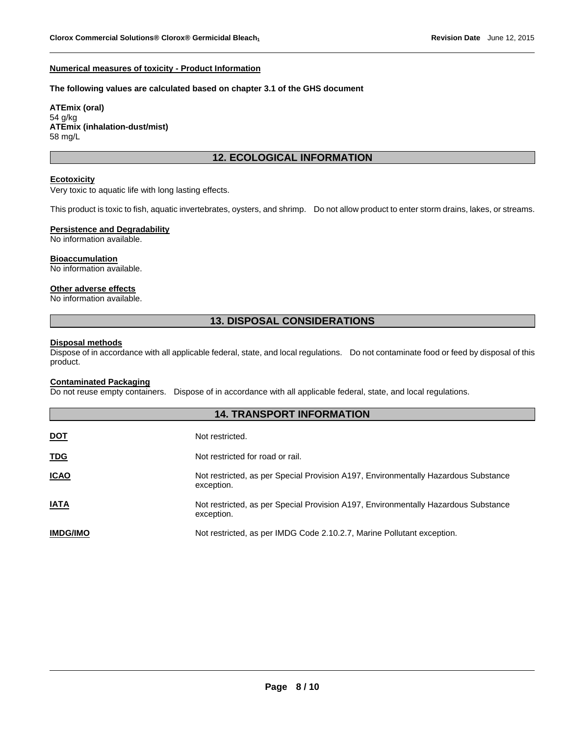#### **Numerical measures of toxicity - Product Information**

#### **The following values are calculated based on chapter 3.1 of the GHS document**

**ATEmix (oral)** 54 g/kg **ATEmix (inhalation-dust/mist)** 58 mg/L

# **12. ECOLOGICAL INFORMATION**

#### **Ecotoxicity**

Very toxic to aquatic life with long lasting effects.

This product is toxic to fish, aquatic invertebrates, oysters, and shrimp. Do not allow product to enter storm drains, lakes, or streams.

# **Persistence and Degradability**

No information available.

## **Bioaccumulation**

No information available.

## **Other adverse effects**

No information available.

# **13. DISPOSAL CONSIDERATIONS**

## **Disposal methods**

Dispose of in accordance with all applicable federal, state, and local regulations. Do not contaminate food or feed by disposal of this product.

# **Contaminated Packaging**

Do not reuse empty containers. Dispose of in accordance with all applicable federal, state, and local regulations.

| <b>14. TRANSPORT INFORMATION</b> |                                                                                                  |  |  |  |
|----------------------------------|--------------------------------------------------------------------------------------------------|--|--|--|
| <u>DOT</u>                       | Not restricted.                                                                                  |  |  |  |
| <b>TDG</b>                       | Not restricted for road or rail.                                                                 |  |  |  |
| <b>ICAO</b>                      | Not restricted, as per Special Provision A197, Environmentally Hazardous Substance<br>exception. |  |  |  |
| <b>IATA</b>                      | Not restricted, as per Special Provision A197, Environmentally Hazardous Substance<br>exception. |  |  |  |
| <b>IMDG/IMO</b>                  | Not restricted, as per IMDG Code 2.10.2.7, Marine Pollutant exception.                           |  |  |  |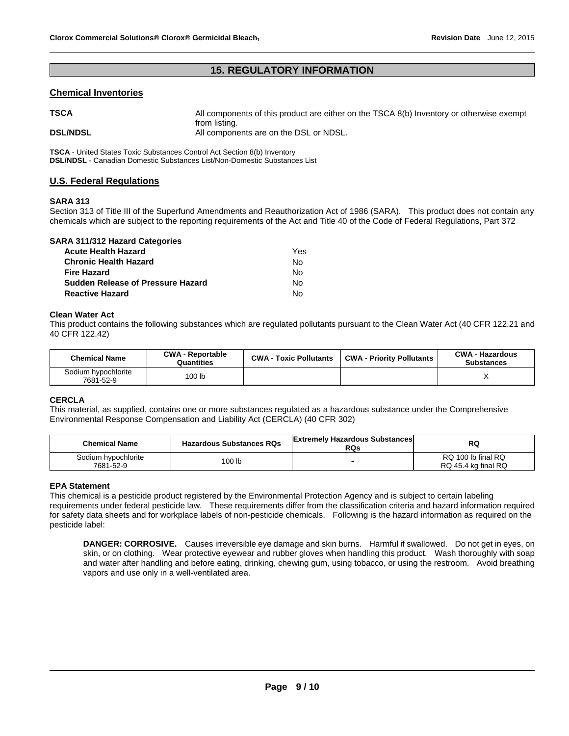# **15. REGULATORY INFORMATION**

# **Chemical Inventories**

| <b>TSCA</b>     | All components of this product are either on the TSCA 8(b) Inventory or otherwise exempt |
|-----------------|------------------------------------------------------------------------------------------|
| <b>DSL/NDSL</b> | from listing.<br>All components are on the DSL or NDSL.                                  |

**TSCA** - United States Toxic Substances Control Act Section 8(b) Inventory **DSL/NDSL** - Canadian Domestic Substances List/Non-Domestic Substances List

# **U.S. Federal Regulations**

## **SARA 313**

Section 313 of Title III of the Superfund Amendments and Reauthorization Act of 1986 (SARA). This product does not contain any chemicals which are subject to the reporting requirements of the Act and Title 40 of the Code of Federal Regulations, Part 372

| SARA 311/312 Hazard Categories           |     |
|------------------------------------------|-----|
| <b>Acute Health Hazard</b>               | Yes |
| <b>Chronic Health Hazard</b>             | No  |
| <b>Fire Hazard</b>                       | N٥  |
| <b>Sudden Release of Pressure Hazard</b> | No  |
| <b>Reactive Hazard</b>                   | N٥  |

## **Clean Water Act**

This product contains the following substances which are regulated pollutants pursuant to the Clean Water Act (40 CFR 122.21 and 40 CFR 122.42)

| <b>Chemical Name</b>             | <b>CWA - Reportable</b><br>Quantities | <b>CWA - Toxic Pollutants</b> | <b>CWA - Priority Pollutants</b> | <b>CWA - Hazardous</b><br><b>Substances</b> |
|----------------------------------|---------------------------------------|-------------------------------|----------------------------------|---------------------------------------------|
| Sodium hypochlorite<br>7681-52-9 | 100 <sub>lb</sub>                     |                               |                                  |                                             |

## **CERCLA**

This material, as supplied, contains one or more substances regulated as a hazardous substance under the Comprehensive Environmental Response Compensation and Liability Act (CERCLA) (40 CFR 302)

| <b>Chemical Name</b>             | <b>Hazardous Substances RQs</b> | <b>Extremely Hazardous Substances</b><br><b>RQs</b> | RQ                                        |
|----------------------------------|---------------------------------|-----------------------------------------------------|-------------------------------------------|
| Sodium hypochlorite<br>7681-52-9 | 00 lb                           | $\overline{\phantom{0}}$                            | RQ 100 lb final RQ<br>RQ 45.4 kg final RQ |

## **EPA Statement**

This chemical is a pesticide product registered by the Environmental Protection Agency and is subject to certain labeling requirements under federal pesticide law. These requirements differ from the classification criteria and hazard information required for safety data sheets and for workplace labels of non-pesticide chemicals. Following is the hazard information as required on the pesticide label:

**DANGER: CORROSIVE.** Causes irreversible eye damage and skin burns. Harmful if swallowed. Do not get in eyes, on skin, or on clothing. Wear protective eyewear and rubber gloves when handling this product. Wash thoroughly with soap and water after handling and before eating, drinking, chewing gum, using tobacco, or using the restroom. Avoid breathing vapors and use only in a well-ventilated area.